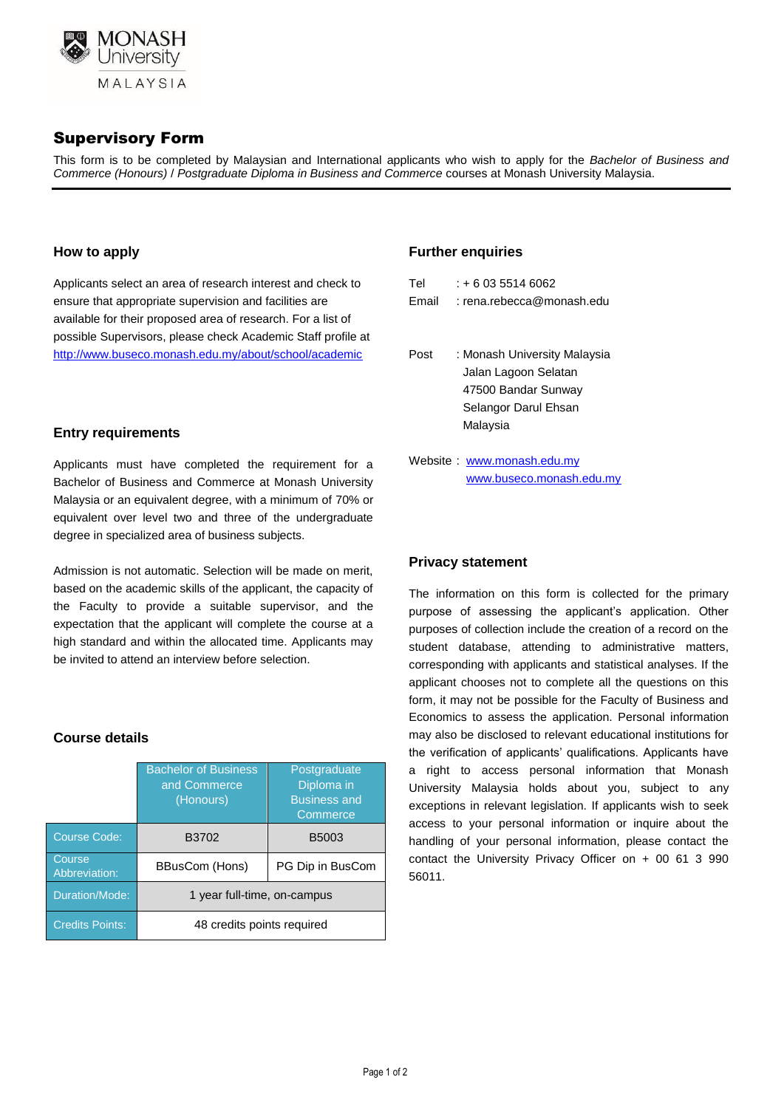

# Supervisory Form

This form is to be completed by Malaysian and International applicants who wish to apply for the *Bachelor of Business and Commerce (Honours)* / *Postgraduate Diploma in Business and Commerce* courses at Monash University Malaysia.

#### **How to apply**

Applicants select an area of research interest and check to ensure that appropriate supervision and facilities are available for their proposed area of research. For a list of possible Supervisors, please check Academic Staff profile at http://www.buseco.monash.edu.my/about/school/academic

#### **Entry requirements**

Applicants must have completed the requirement for a Bachelor of Business and Commerce at Monash University Malaysia or an equivalent degree, with a minimum of 70% or equivalent over level two and three of the undergraduate degree in specialized area of business subjects.

Admission is not automatic. Selection will be made on merit, based on the academic skills of the applicant, the capacity of the Faculty to provide a suitable supervisor, and the expectation that the applicant will complete the course at a high standard and within the allocated time. Applicants may be invited to attend an interview before selection.

### **Course details**

|                         | <b>Bachelor of Business</b><br>and Commerce<br>(Honours) | Postgraduate<br>Diploma in<br><b>Business and</b><br>Commerce |  |  |  |
|-------------------------|----------------------------------------------------------|---------------------------------------------------------------|--|--|--|
| <b>Course Code:</b>     | B3702                                                    | B5003                                                         |  |  |  |
| Course<br>Abbreviation: | BBusCom (Hons)                                           | PG Dip in BusCom                                              |  |  |  |
| Duration/Mode:          | 1 year full-time, on-campus                              |                                                               |  |  |  |
| <b>Credits Points:</b>  | 48 credits points required                               |                                                               |  |  |  |

#### **Further enquiries**

| Tel   | $: +60355146062$            |
|-------|-----------------------------|
| Email | $:$ rena.rebecca@monash.edu |
|       |                             |
|       |                             |

- Post : Monash University Malaysia Jalan Lagoon Selatan 47500 Bandar Sunway Selangor Darul Ehsan Malaysia
- Website : [www.monash.edu.my](http://www.monash.edu.my/) [www.buseco.monash.edu.my](http://www.buseco.monash.edu.my/)

### **Privacy statement**

The information on this form is collected for the primary purpose of assessing the applicant's application. Other purposes of collection include the creation of a record on the student database, attending to administrative matters, corresponding with applicants and statistical analyses. If the applicant chooses not to complete all the questions on this form, it may not be possible for the Faculty of Business and Economics to assess the application. Personal information may also be disclosed to relevant educational institutions for the verification of applicants' qualifications. Applicants have a right to access personal information that Monash University Malaysia holds about you, subject to any exceptions in relevant legislation. If applicants wish to seek access to your personal information or inquire about the handling of your personal information, please contact the contact the University Privacy Officer on + 00 61 3 990 56011.